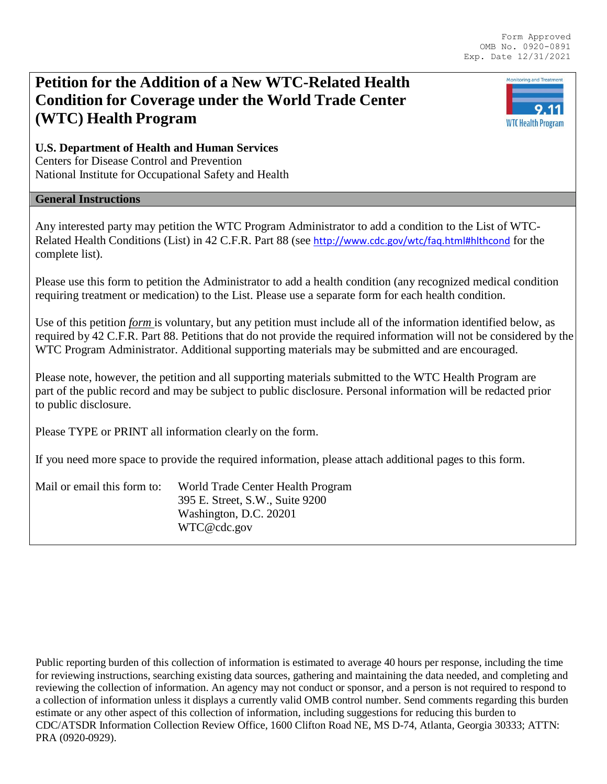Monitoring and Treatment

9.11 **WTC Health Program** 

# **Petition for the Addition of a New WTC-Related Health Condition for Coverage under the World Trade Center (WTC) Health Program**

### **U.S. Department of Health and Human Services**

Centers for Disease Control and Prevention National Institute for Occupational Safety and Health

#### **General Instructions**

Any interested party may petition the WTC Program Administrator to add a condition to the List of WTC-Related Health Conditions (List) in 42 C.F.R. Part 88 (see <http://www.cdc.gov/wtc/faq.html#hlthcond> for the complete list).

Please use this form to petition the Administrator to add a health condition (any recognized medical condition requiring treatment or medication) to the List. Please use a separate form for each health condition.

Use of this petition *form* is voluntary, but any petition must include all of the information identified below, as required by 42 C.F.R. Part 88. Petitions that do not provide the required information will not be considered by the WTC Program Administrator. Additional supporting materials may be submitted and are encouraged.

Please note, however, the petition and all supporting materials submitted to the WTC Health Program are part of the public record and may be subject to public disclosure. Personal information will be redacted prior to public disclosure.

Please TYPE or PRINT all information clearly on the form.

If you need more space to provide the required information, please attach additional pages to this form.

| Mail or email this form to: | World Trade Center Health Program |
|-----------------------------|-----------------------------------|
|                             | 395 E. Street, S.W., Suite 9200   |
|                             | Washington, D.C. 20201            |
|                             | WTC@cdc.gov                       |

Public reporting burden of this collection of information is estimated to average 40 hours per response, including the time for reviewing instructions, searching existing data sources, gathering and maintaining the data needed, and completing and reviewing the collection of information. An agency may not conduct or sponsor, and a person is not required to respond to a collection of information unless it displays a currently valid OMB control number. Send comments regarding this burden estimate or any other aspect of this collection of information, including suggestions for reducing this burden to CDC/ATSDR Information Collection Review Office, 1600 Clifton Road NE, MS D-74, Atlanta, Georgia 30333; ATTN: PRA (0920-0929).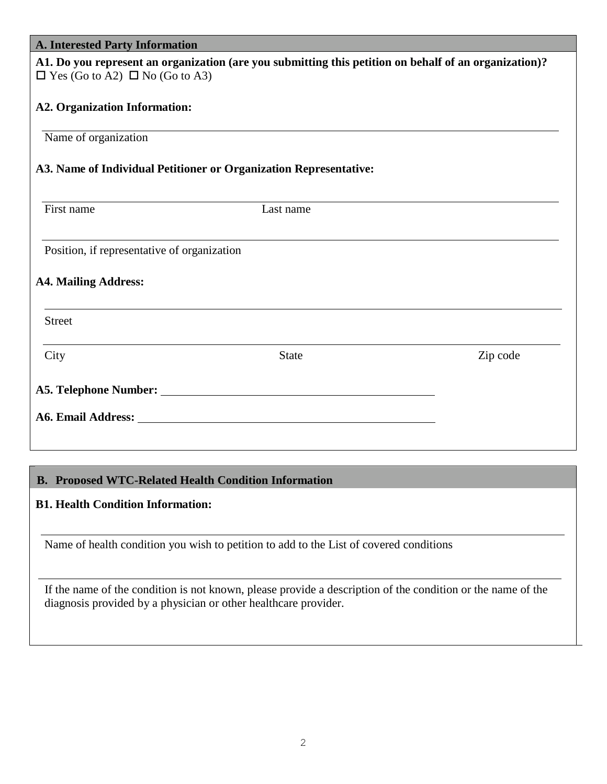| <b>A. Interested Party Information</b>      |                                                                                                                                                                                                                               |          |
|---------------------------------------------|-------------------------------------------------------------------------------------------------------------------------------------------------------------------------------------------------------------------------------|----------|
| $\Box$ Yes (Go to A2) $\Box$ No (Go to A3)  | A1. Do you represent an organization (are you submitting this petition on behalf of an organization)?                                                                                                                         |          |
| <b>A2. Organization Information:</b>        |                                                                                                                                                                                                                               |          |
| Name of organization                        |                                                                                                                                                                                                                               |          |
|                                             | A3. Name of Individual Petitioner or Organization Representative:                                                                                                                                                             |          |
| First name                                  | Last name                                                                                                                                                                                                                     |          |
| Position, if representative of organization |                                                                                                                                                                                                                               |          |
| <b>A4. Mailing Address:</b>                 |                                                                                                                                                                                                                               |          |
| <b>Street</b>                               |                                                                                                                                                                                                                               |          |
| City                                        | <b>State</b>                                                                                                                                                                                                                  | Zip code |
|                                             |                                                                                                                                                                                                                               |          |
|                                             | A6. Email Address: No. 1996. The Second Second Second Second Second Second Second Second Second Second Second Second Second Second Second Second Second Second Second Second Second Second Second Second Second Second Second |          |

# **B. Proposed WTC-Related Health Condition Information**

# **B1. Health Condition Information:**

Name of health condition you wish to petition to add to the List of covered conditions

If the name of the condition is not known, please provide a description of the condition or the name of the diagnosis provided by a physician or other healthcare provider.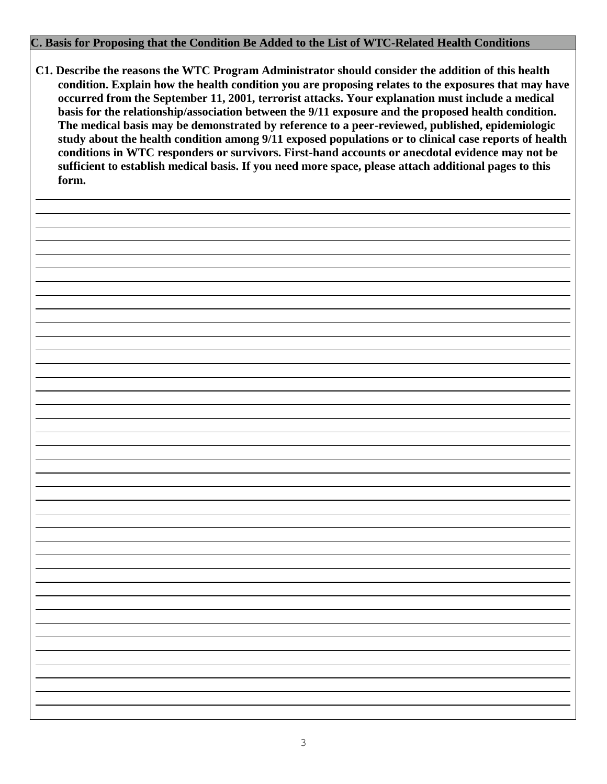### **C. Basis for Proposing that the Condition Be Added to the List of WTC-Related Health Conditions**

**C1. Describe the reasons the WTC Program Administrator should consider the addition of this health condition. Explain how the health condition you are proposing relates to the exposures that may have occurred from the September 11, 2001, terrorist attacks. Your explanation must include a medical basis for the relationship/association between the 9/11 exposure and the proposed health condition. The medical basis may be demonstrated by reference to a peer-reviewed, published, epidemiologic study about the health condition among 9/11 exposed populations or to clinical case reports of health conditions in WTC responders or survivors. First-hand accounts or anecdotal evidence may not be sufficient to establish medical basis. If you need more space, please attach additional pages to this form.**